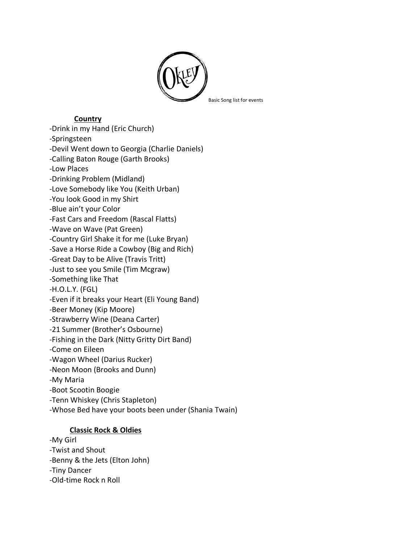

## **Country**

-Drink in my Hand (Eric Church) -Springsteen -Devil Went down to Georgia (Charlie Daniels) -Calling Baton Rouge (Garth Brooks) -Low Places -Drinking Problem (Midland) -Love Somebody like You (Keith Urban) -You look Good in my Shirt -Blue ain't your Color -Fast Cars and Freedom (Rascal Flatts) -Wave on Wave (Pat Green) -Country Girl Shake it for me (Luke Bryan) -Save a Horse Ride a Cowboy (Big and Rich) -Great Day to be Alive (Travis Tritt) -Just to see you Smile (Tim Mcgraw) -Something like That -H.O.L.Y. (FGL) -Even if it breaks your Heart (Eli Young Band) -Beer Money (Kip Moore) -Strawberry Wine (Deana Carter) -21 Summer (Brother's Osbourne) -Fishing in the Dark (Nitty Gritty Dirt Band) -Come on Eileen -Wagon Wheel (Darius Rucker) -Neon Moon (Brooks and Dunn) -My Maria -Boot Scootin Boogie -Tenn Whiskey (Chris Stapleton) -Whose Bed have your boots been under (Shania Twain)

## **Classic Rock & Oldies**

-My Girl -Twist and Shout -Benny & the Jets (Elton John) -Tiny Dancer -Old-time Rock n Roll